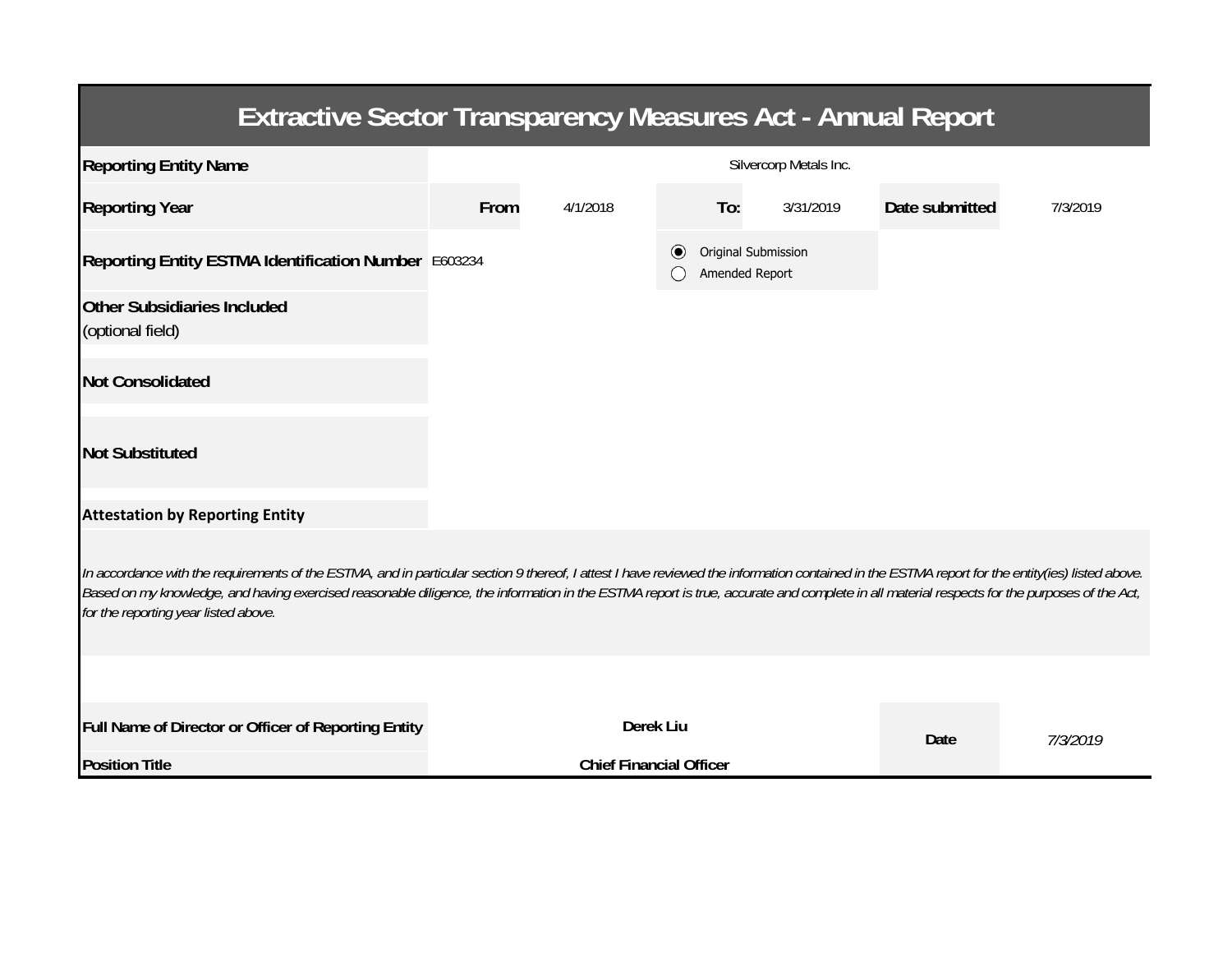| <b>Extractive Sector Transparency Measures Act - Annual Report</b>                                                                                                                                                                                                                                                                                                                                                                    |                        |                                |           |                                       |                |          |  |  |  |  |
|---------------------------------------------------------------------------------------------------------------------------------------------------------------------------------------------------------------------------------------------------------------------------------------------------------------------------------------------------------------------------------------------------------------------------------------|------------------------|--------------------------------|-----------|---------------------------------------|----------------|----------|--|--|--|--|
| <b>Reporting Entity Name</b>                                                                                                                                                                                                                                                                                                                                                                                                          | Silvercorp Metals Inc. |                                |           |                                       |                |          |  |  |  |  |
| <b>Reporting Year</b>                                                                                                                                                                                                                                                                                                                                                                                                                 | From                   | 4/1/2018                       | To:       | 3/31/2019                             | Date submitted | 7/3/2019 |  |  |  |  |
| Reporting Entity ESTMA Identification Number E603234                                                                                                                                                                                                                                                                                                                                                                                  |                        |                                |           | Original Submission<br>Amended Report |                |          |  |  |  |  |
| <b>Other Subsidiaries Included</b><br>(optional field)                                                                                                                                                                                                                                                                                                                                                                                |                        |                                |           |                                       |                |          |  |  |  |  |
| <b>Not Consolidated</b>                                                                                                                                                                                                                                                                                                                                                                                                               |                        |                                |           |                                       |                |          |  |  |  |  |
| <b>Not Substituted</b>                                                                                                                                                                                                                                                                                                                                                                                                                |                        |                                |           |                                       |                |          |  |  |  |  |
| <b>Attestation by Reporting Entity</b>                                                                                                                                                                                                                                                                                                                                                                                                |                        |                                |           |                                       |                |          |  |  |  |  |
| In accordance with the requirements of the ESTMA, and in particular section 9 thereof, I attest I have reviewed the information contained in the ESTMA report for the entity(ies) listed above.<br>Based on my knowledge, and having exercised reasonable diligence, the information in the ESTMA report is true, accurate and complete in all material respects for the purposes of the Act,<br>for the reporting year listed above. |                        |                                |           |                                       |                |          |  |  |  |  |
|                                                                                                                                                                                                                                                                                                                                                                                                                                       |                        |                                |           |                                       |                |          |  |  |  |  |
| Full Name of Director or Officer of Reporting Entity                                                                                                                                                                                                                                                                                                                                                                                  |                        |                                | Derek Liu |                                       | Date           | 7/3/2019 |  |  |  |  |
| <b>Position Title</b>                                                                                                                                                                                                                                                                                                                                                                                                                 |                        | <b>Chief Financial Officer</b> |           |                                       |                |          |  |  |  |  |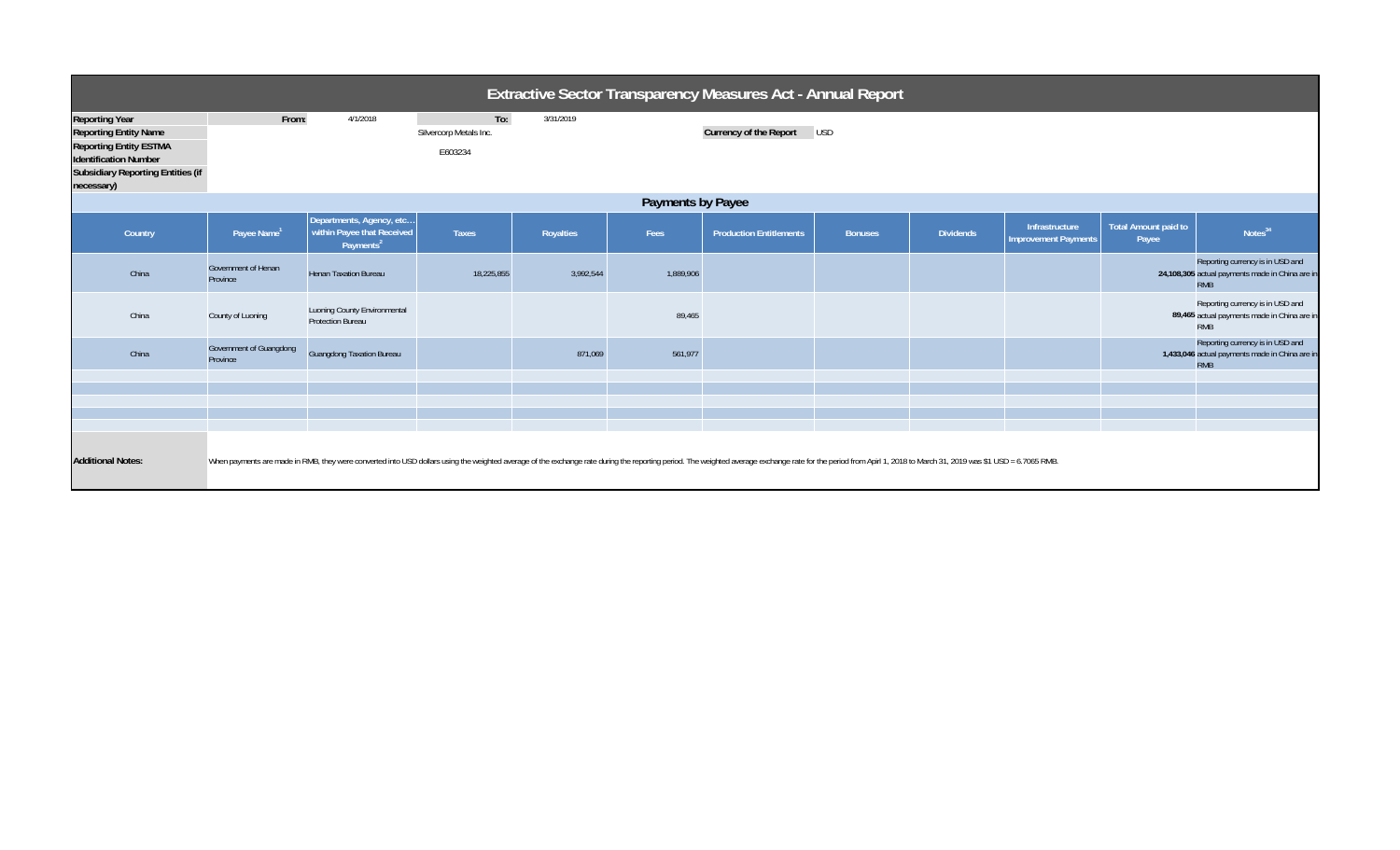| <b>Extractive Sector Transparency Measures Act - Annual Report</b>                                                                                                               |                                     |                                                                                 |                                          |           |           |                                                                                                                                                                                                                                |                |                  |                                               |                               |                                                                                                   |
|----------------------------------------------------------------------------------------------------------------------------------------------------------------------------------|-------------------------------------|---------------------------------------------------------------------------------|------------------------------------------|-----------|-----------|--------------------------------------------------------------------------------------------------------------------------------------------------------------------------------------------------------------------------------|----------------|------------------|-----------------------------------------------|-------------------------------|---------------------------------------------------------------------------------------------------|
| <b>Reporting Year</b><br><b>Reporting Entity Name</b><br><b>Reporting Entity ESTMA</b><br><b>Identification Number</b><br><b>Subsidiary Reporting Entities (if</b><br>necessary) | From:                               | 4/1/2018                                                                        | To:<br>Silvercorp Metals Inc.<br>E603234 | 3/31/2019 |           | Currency of the Report                                                                                                                                                                                                         | <b>USD</b>     |                  |                                               |                               |                                                                                                   |
| Payments by Payee                                                                                                                                                                |                                     |                                                                                 |                                          |           |           |                                                                                                                                                                                                                                |                |                  |                                               |                               |                                                                                                   |
| Country                                                                                                                                                                          | Payee Name <sup>1</sup>             | Departments, Agency, etc<br>within Payee that Received<br>Payments <sup>2</sup> | <b>Taxes</b>                             | Royalties | Fees      | <b>Production Entitlements</b>                                                                                                                                                                                                 | <b>Bonuses</b> | <b>Dividends</b> | Infrastructure<br><b>Improvement Payments</b> | Total Amount paid to<br>Payee | Notes <sup>34</sup>                                                                               |
| China                                                                                                                                                                            | Government of Henan<br>Province     | <b>Henan Taxation Bureau</b>                                                    | 18,225,855                               | 3,992,544 | 1,889,906 |                                                                                                                                                                                                                                |                |                  |                                               |                               | Reporting currency is in USD and<br>24,108,305 actual payments made in China are in<br><b>RMB</b> |
| China                                                                                                                                                                            | County of Luoning                   | Luoning County Environmental<br><b>Protection Bureau</b>                        |                                          |           | 89,465    |                                                                                                                                                                                                                                |                |                  |                                               |                               | Reporting currency is in USD and<br>89,465 actual payments made in China are in<br><b>RMB</b>     |
| China                                                                                                                                                                            | Government of Guangdong<br>Province | <b>Guangdong Taxation Bureau</b>                                                |                                          | 871,069   | 561,977   |                                                                                                                                                                                                                                |                |                  |                                               |                               | Reporting currency is in USD and<br>1,433,046 actual payments made in China are in<br><b>RMB</b>  |
|                                                                                                                                                                                  |                                     |                                                                                 |                                          |           |           |                                                                                                                                                                                                                                |                |                  |                                               |                               |                                                                                                   |
|                                                                                                                                                                                  |                                     |                                                                                 |                                          |           |           |                                                                                                                                                                                                                                |                |                  |                                               |                               |                                                                                                   |
|                                                                                                                                                                                  |                                     |                                                                                 |                                          |           |           |                                                                                                                                                                                                                                |                |                  |                                               |                               |                                                                                                   |
| <b>Additional Notes:</b>                                                                                                                                                         |                                     |                                                                                 |                                          |           |           | When payments are made in RMB, they were converted into USD dollars using the weighted average of the exchange rate during the reporting period. The weighted average exchange rate for the period from Apirl 1, 2018 to March |                |                  |                                               |                               |                                                                                                   |